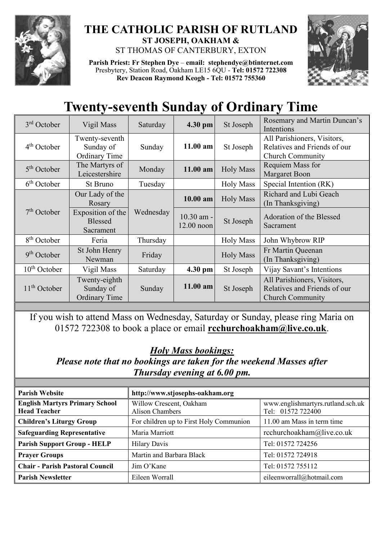

## **THE CATHOLIC PARISH OF RUTLAND ST JOSEPH, OAKHAM &**  ST THOMAS OF CANTERBURY, EXTON

**Parish Priest: Fr Stephen Dye** – **[email: stephendye@btinternet.com](mailto:email:%20%20stephendye@btinternet.com)** Presbytery, Station Road, Oakham LE15 6QU - **Tel: 01572 722308 Rev Deacon Raymond Keogh - Tel: 01572 755360**



## **Twenty-seventh Sunday of Ordinary Time**

| $3rd$ October            | Vigil Mass                                          | Saturday  | 4.30 pm                    | St Joseph        | Rosemary and Martin Duncan's<br>Intentions                                             |
|--------------------------|-----------------------------------------------------|-----------|----------------------------|------------------|----------------------------------------------------------------------------------------|
| $4th$ October            | Twenty-seventh<br>Sunday of<br><b>Ordinary Time</b> | Sunday    | 11.00 am                   | St Joseph        | All Parishioners, Visitors,<br>Relatives and Friends of our<br><b>Church Community</b> |
| $5th$ October            | The Martyrs of<br>Leicestershire                    | Monday    | $11.00$ am                 | <b>Holy Mass</b> | Requiem Mass for<br><b>Margaret Boon</b>                                               |
| 6 <sup>th</sup> October  | St Bruno                                            | Tuesday   |                            | <b>Holy Mass</b> | Special Intention (RK)                                                                 |
| $7th$ October            | Our Lady of the<br>Rosary                           | Wednesday | 10.00 am                   | <b>Holy Mass</b> | Richard and Lubi Geach<br>(In Thanksgiving)                                            |
|                          | Exposition of the<br><b>Blessed</b><br>Sacrament    |           | 10.30 am -<br>$12.00$ noon | St Joseph        | Adoration of the Blessed<br>Sacrament                                                  |
| 8 <sup>th</sup> October  | Feria                                               | Thursday  |                            | <b>Holy Mass</b> | John Whybrow RIP                                                                       |
| $9th$ October            | St John Henry<br>Newman                             | Friday    |                            | <b>Holy Mass</b> | Fr Martin Queenan<br>(In Thanksgiving)                                                 |
| $10th$ October           | Vigil Mass                                          | Saturday  | 4.30 pm                    | St Joseph        | Vijay Savant's Intentions                                                              |
| 11 <sup>th</sup> October | Twenty-eighth<br>Sunday of<br><b>Ordinary Time</b>  | Sunday    | 11.00 am                   | St Joseph        | All Parishioners, Visitors,<br>Relatives and Friends of our<br><b>Church Community</b> |

If you wish to attend Mass on Wednesday, Saturday or Sunday, please ring Maria on 01572 722308 to book a place or email **[rcchurchoakham@live.co.uk](mailto:rcchurchoakham@live.co.uk)**.

## *Holy Mass bookings:*

*Please note that no bookings are taken for the weekend Masses after Thursday evening at 6.00 pm.*

| <b>Parish Website</b>                                        | http://www.stjosephs-oakham.org                   |                                                        |  |
|--------------------------------------------------------------|---------------------------------------------------|--------------------------------------------------------|--|
| <b>English Martyrs Primary School</b><br><b>Head Teacher</b> | Willow Crescent, Oakham<br><b>Alison Chambers</b> | www.englishmartyrs.rutland.sch.uk<br>Tel: 01572 722400 |  |
| <b>Children's Liturgy Group</b>                              | For children up to First Holy Communion           | 11.00 am Mass in term time                             |  |
| <b>Safeguarding Representative</b>                           | Maria Marriott                                    | rcchurchoakham@live.co.uk                              |  |
| <b>Parish Support Group - HELP</b>                           | <b>Hilary Davis</b>                               | Tel: 01572 724256                                      |  |
| Prayer Groups                                                | Martin and Barbara Black                          | Tel: 01572 724918                                      |  |
| <b>Chair - Parish Pastoral Council</b>                       | Jim O'Kane                                        | Tel: 01572 755112                                      |  |
| <b>Parish Newsletter</b>                                     | Eileen Worrall                                    | eileenworrall@hotmail.com                              |  |